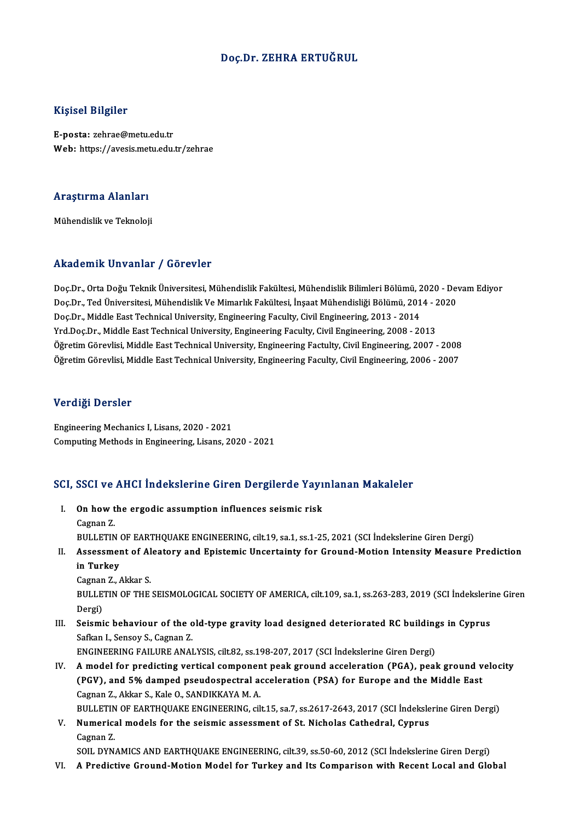#### Doç.Dr. ZEHRA ERTUĞRUL

#### Kişisel Bilgiler

E-posta: zehrae@metu.edu.tr Web: https://avesis.metu.edu.tr/zehrae

## .<br>Araştırma Alanları<br>. <mark>Araştırma Alanları</mark><br>Mühendislik ve Teknoloji

## Mühendislik ve Teknoloji<br>Akademik Unvanlar / Görevler

Akademik Unvanlar / Görevler<br>Doç.Dr., Orta Doğu Teknik Üniversitesi, Mühendislik Fakültesi, Mühendislik Bilimleri Bölümü, 2020 - Devam Ediyor<br>Dos.Dr., Tod Üniversitesi, Mühendislik Ve Mimarlık Fakültesi, İnsast Mühendisliğ rındu olirin "Olivulinar" / "USFSVISI"<br>Doç.Dr., Orta Doğu Teknik Üniversitesi, Mühendislik Fakültesi, Mühendislik Bilimleri Bölümü, 2020 - Dev<br>Doc.Dr., Ted Üniversitesi, Mühendislik Ve Mimarlık Fakültesi, İnşaat Mühendisli Doç.Dr., Orta Doğu Teknik Üniversitesi, Mühendislik Fakültesi, Mühendislik Bilimleri Bölümü, 2<br>Doç.Dr., Ted Üniversitesi, Mühendislik Ve Mimarlık Fakültesi, İnşaat Mühendisliği Bölümü, 201<br>Doç.Dr., Middle East Technical Un Doç.Dr., Ted Üniversitesi, Mühendislik Ve Mimarlık Fakültesi, İnşaat Mühendisliği Bölümü, 2014 - 2020<br>Doç.Dr., Middle East Technical University, Engineering Faculty, Civil Engineering, 2013 - 2014<br>Yrd.Doç.Dr., Middle East Doç.Dr., Middle East Technical University, Engineering Faculty, Civil Engineering, 2013 - 2014<br>Yrd.Doç.Dr., Middle East Technical University, Engineering Faculty, Civil Engineering, 2008 - 2013<br>Öğretim Görevlisi, Middle Ea Yrd.Doç.Dr., Middle East Technical University, Engineering Faculty, Civil Engineering, 2008 - 2013<br>Öğretim Görevlisi, Middle East Technical University, Engineering Factulty, Civil Engineering, 2007 - 2008<br>Öğretim Görevlisi Öğretim Görevlisi, Middle East Technical University, Engineering Faculty, Civil Engineering, 2006 - 2007<br>Verdiği Dersler

Engineering Mechanics I, Lisans, 2020 - 2021 Computing Methods in Engineering, Lisans, 2020 - 2021

# Compuung meunous in Engineering, Lisans, 2020 - 2021<br>SCI, SSCI ve AHCI İndekslerine Giren Dergilerde Yayınlanan Makaleler

- CI, SSCI ve AHCI İndekslerine Giren Dergilerde Yayı<br>I. On how the ergodic assumption influences seismic risk I. On how the ergodic assumption influences seismic risk<br>Cagnan Z. On how the ergodic assumption influences seismic risk<br>Cagnan Z.<br>BULLETIN OF EARTHQUAKE ENGINEERING, cilt.19, sa.1, ss.1-25, 2021 (SCI İndekslerine Giren Dergi)<br>Assessment of Alestery and Enistemis Unserteinty for Creurd Me Cagnan Z.<br>BULLETIN OF EARTHQUAKE ENGINEERING, cilt.19, sa.1, ss.1-25, 2021 (SCI İndekslerine Giren Dergi)<br>II. Assessment of Aleatory and Epistemic Uncertainty for Ground-Motion Intensity Measure Prediction<br>in Turkey
- BULLETIN<br>Assessmer<br>in Turkey<br>Cognan 7 Assessment of Al<br>in Turkey<br>Cagnan Z., Akkar S.<br>PULLETIN OF TUE

in Turkey<br>Cagnan Z., Akkar S.<br>BULLETIN OF THE SEISMOLOGICAL SOCIETY OF AMERICA, cilt.109, sa.1, ss.263-283, 2019 (SCI İndekslerine Giren<br>Dergi) Cagnan Z. Akkar S. BULLETIN OF THE SEISMOLOGICAL SOCIETY OF AMERICA, cilt.109, sa.1, ss.263-283, 2019 (SCI İndeksleri:<br>Dergi)<br>III. Seismic behaviour of the old-type gravity load designed deteriorated RC buildings in Cyprus<br>Sefkan J. Sensov S

Dergi)<br>Seismic behaviour of the o<br>Safkan I., Sensoy S., Cagnan Z.<br>ENCINEEPINC FAJI UPE ANAI Seismic behaviour of the old-type gravity load designed deteriorated RC building<br>Safkan I., Sensoy S., Cagnan Z.<br>ENGINEERING FAILURE ANALYSIS, cilt.82, ss.198-207, 2017 (SCI İndekslerine Giren Dergi)<br>A model for predicting

- Safkan I., Sensoy S., Cagnan Z.<br>ENGINEERING FAILURE ANALYSIS, cilt.82, ss.198-207, 2017 (SCI Indekslerine Giren Dergi)<br>IV. A model for predicting vertical component peak ground acceleration (PGA), peak ground velocity<br>(PGV ENGINEERING FAILURE ANALYSIS, cilt.82, ss.198-207, 2017 (SCI İndekslerine Giren Dergi)<br>A model for predicting vertical component peak ground acceleration (PGA), peak ground v<br>(PGV), and 5% damped pseudospectral acceleratio A model for predicting vertical componen<br>(PGV), and 5% damped pseudospectral a<br>Cagnan Z., Akkar S., Kale O., SANDIKKAYA M. A.<br>PULLETIN OF FARTHOUAKE ENCINEERING sil (PGV), and 5% damped pseudospectral acceleration (PSA) for Europe and the Middle East<br>Cagnan Z., Akkar S., Kale O., SANDIKKAYA M. A.<br>BULLETIN OF EARTHQUAKE ENGINEERING, cilt.15, sa.7, ss.2617-2643, 2017 (SCI İndekslerine G Cagnan Z., Akkar S., Kale O., SANDIKKAYA M. A.<br>BULLETIN OF EARTHQUAKE ENGINEERING, cilt.15, sa.7, ss.2617-2643, 2017 (SCI İndeksle<br>V. Numerical models for the seismic assessment of St. Nicholas Cathedral, Cyprus<br>Cegnan Z
- BULLETIN<br>Numerica<br>Cagnan Z.<br>SOU DYN V. Numerical models for the seismic assessment of St. Nicholas Cathedral, Cyprus<br>Cagnan Z.<br>SOIL DYNAMICS AND EARTHQUAKE ENGINEERING, cilt.39, ss.50-60, 2012 (SCI İndekslerine Giren Dergi)

VI. A Predictive Ground-MotionModel for Turkey and Its Comparison with Recent Local and Global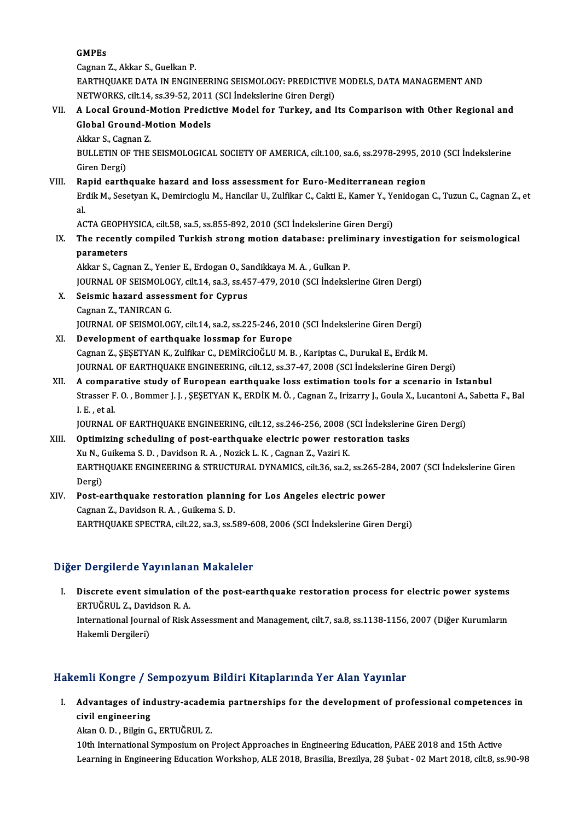GMPEs

Cagnan Z., Akkar S., Guelkan P.

GMPEs<br>Cagnan Z., Akkar S., Guelkan P.<br>EARTHQUAKE DATA IN ENGINEERING SEISMOLOGY: PREDICTIVE MODELS, DATA MANAGEMENT AND<br>NETWORKS, silt 14, ss 30, 52, 2011 (SCLIndekalaring Ginan Dersi) Cagnan Z., Akkar S., Guelkan P.<br>EARTHQUAKE DATA IN ENGINEERING SEISMOLOGY: PREDICTIVE<br>NETWORKS, cilt.14, ss.39-52, 2011 (SCI İndekslerine Giren Dergi)<br>A Logal Caeund Mation Predistive Madel for Turkey, and I NETWORKS, cilt.14, ss.39-52, 2011 (SCI İndekslerine Giren Dergi)

### VII. A Local Ground-Motion Predictive Model for Turkey, and Its Comparison with Other Regional and<br>Global Ground-Motion Models **A Local Ground-M<br>Global Ground-M<br>Akkar S., Cagnan Z.<br>PLU LETIN OF THE**

BULLETIN OF THE SEISMOLOGICAL SOCIETY OF AMERICA, cilt.100, sa.6, ss.2978-2995, 2010 (SCI İndekslerine<br>Giren Dergi) Akkar S., Cagi<br>BULLETIN OF<br>Giren Dergi)<br>Panid oarth

#### VIII. Rapid earthquake hazard and loss assessment for Euro-Mediterranean region Giren Dergi)<br>Rapid earthquake hazard and loss assessment for Euro-Mediterranean region<br>Erdik M., Sesetyan K., Demircioglu M., Hancilar U., Zulfikar C., Cakti E., Kamer Y., Yenidogan C., Tuzun C., Cagnan Z., et<br>el Ra<br>Er<br>al Erdik M., Sesetyan K., Demircioglu M., Hancilar U., Zulfikar C., Cakti E., Kamer Y., Ye<br>al.<br>ACTA GEOPHYSICA, cilt.58, sa.5, ss.855-892, 2010 (SCI İndekslerine Giren Dergi)<br>The resently sempiled Turkish streng metien databa

## al.<br>ACTA GEOPHYSICA, cilt.58, sa.5, ss.855-892, 2010 (SCI İndekslerine Giren Dergi)<br>IX. The recently compiled Turkish strong motion database: preliminary investigation for seismological<br>parametars ACTA GEOPH<br>The recently<br>parameters<br>Akkan S. Corr The recently compiled Turkish strong motion database: prelip<br>parameters<br>Akkar S., Cagnan Z., Yenier E., Erdogan O., Sandikkaya M. A. , Gulkan P.<br>JOUPMAL OF SEISMOLOCY, silt 14, sa 3, sa 457, 479, 2010 (SCL Indekal

parameters<br>Akkar S., Cagnan Z., Yenier E., Erdogan O., Sandikkaya M. A. , Gulkan P.<br>JOURNAL OF SEISMOLOGY, cilt.14, sa.3, ss.457-479, 2010 (SCI İndekslerine Giren Dergi)<br>Seismis barard assessment for Gunrus Akkar S., Cagnan Z., Yenier E., Erdogan O., Sandikkaya M. A. , Gulkan P.<br>JOURNAL OF SEISMOLOGY, cilt.14, sa.3, ss.457-479, 2010 (SCI İndeksle<br>X. Seismic hazard assessment for Cyprus<br>Cagnan Z., TANIRCAN G.

**JOURNAL OF SEISMOLO<br>Seismic hazard assess<br>Cagnan Z., TANIRCAN G.<br>JOUPNAL OF SEISMOLOG** Seismic hazard assessment for Cyprus<br>Cagnan Z., TANIRCAN G.<br>JOURNAL OF SEISMOLOGY, cilt.14, sa.2, ss.225-246, 2010 (SCI İndekslerine Giren Dergi)<br>Develenment of sarthauelye lessman for Europe.

- XI. Development of earthquake lossmap for Europe<br>Cagnan Z., ŞEŞETYAN K., Zulfikar C., DEMİRCİOĞLU M. B., Kariptas C., Durukal E., Erdik M. JOURNAL OF SEISMOLOGY, cilt.14, sa.2, ss.225-246, 2010 (SCI İndekslerine Giren Dergi)<br>Development of earthquake lossmap for Europe<br>Cagnan Z., ŞEŞETYAN K., Zulfikar C., DEMİRCİOĞLU M. B. , Kariptas C., Durukal E., Erdik M.<br> JOURNAL OF EARTHQUAKE ENGINEERING, cilt.12, ss.37-47, 2008 (SCI İndekslerine Giren Dergi) Cagnan Z., ŞEŞETYAN K., Zulfikar C., DEMİRCİOĞLU M. B., Kariptas C., Durukal E., Erdik M.<br>JOURNAL OF EARTHQUAKE ENGINEERING, cilt.12, ss.37-47, 2008 (SCI İndekslerine Giren Dergi)<br>XII. A comparative study of European earth
- JOURNAL OF EARTHQUAKE ENGINEERING, cilt.12, ss.37-47, 2008 (SCI İndekslerine Giren Dergi)<br>A comparative study of European earthquake loss estimation tools for a scenario in Istanbul<br>Strasser F. O. , Bommer J. J. , ŞEŞETYAN **A compaint**<br>Strasser F<br>I. E. , et al.<br>IOUPMAI Strasser F. O. , Bommer J. J. , ŞEŞETYAN K., ERDİK M. Ö. , Cagnan Z., Irizarry J., Goula X., Lucantoni A.,<br>I. E. , et al.<br>JOURNAL OF EARTHQUAKE ENGINEERING, cilt.12, ss.246-256, 2008 (SCI İndekslerine Giren Dergi)<br>Ontimiri I. E. , et al.<br>JOURNAL OF EARTHQUAKE ENGINEERING, cilt.12, ss.246-256, 2008 (SCI İndekslerine Giren Dergi)<br>XIII. Optimizing scheduling of post-earthquake electric power restoration tasks

### JOURNAL OF EARTHQUAKE ENGINEERING, cilt.12, ss.246-256, 2008 (<br>Optimizing scheduling of post-earthquake electric power rest<br>Xu N., Guikema S. D. , Davidson R. A. , Nozick L. K. , Cagnan Z., Vaziri K.<br>EARTHOUAKE ENCINEERING EARTHQUAKE ENGINEERING & STRUCTURAL DYNAMICS, cilt.36, sa.2, ss.265-284, 2007 (SCI İndekslerine Giren<br>Dergi) Xu N., (<br>EARTH<br>Dergi)<br>Pest e EARTHQUAKE ENGINEERING & STRUCTURAL DYNAMICS, cilt.36, sa.2, ss.265-28<br>Dergi)<br>XIV. Post-earthquake restoration planning for Los Angeles electric power

Dergi)<br>Post-earthquake restoration plannin<br>Cagnan Z., Davidson R. A. , Guikema S. D.<br>FARTHOUAKE SPECTRA, cilt 22, 22, 23, 25 Post-earthquake restoration planning for Los Angeles electric power<br>Cagnan Z., Davidson R. A. , Guikema S. D.<br>EARTHQUAKE SPECTRA, cilt.22, sa.3, ss.589-608, 2006 (SCI İndekslerine Giren Dergi) EARTHQUAKE SPECTRA, cilt.22, sa.3, ss.589-608, 2006 (SCI İndekslerine Giren Dergi)<br>Diğer Dergilerde Yayınlanan Makaleler

Iger Dergilerde Yayınlanan Makaleler<br>I. Discrete event simulation of the post-earthquake restoration process for electric power systems<br>ERTUČRULZ Davidson R.A Extra de la de la manda<br>Discrete event simulation<br>ERTUĞRUL Z., Davidson R. A. Discrete event simulation of the post-earthquake restoration process for electric power systems<br>ERTUĞRUL Z., Davidson R. A.<br>International Journal of Risk Assessment and Management, cilt.7, sa.8, ss.1138-1156, 2007 (Diğer K ERTUĞRUL Z., Davidson R. A.<br>International Journal of Risk Assessment and Management, cilt.7, sa.8, ss.1138-1156, 2007 (Diğer Kurumların<br>Hakemli Dergileri)

#### Hakemli Kongre / Sempozyum Bildiri Kitaplarında Yer Alan Yayınlar

akemli Kongre / Sempozyum Bildiri Kitaplarında Yer Alan Yayınlar<br>I. Advantages of industry-academia partnerships for the development of professional competences in civil engineering<br>Advantages of indicivil engineering Advantages of industry-acaden<br>civil engineering<br>Akan O. D. , Bilgin G., ERTUĞRUL Z.<br>10th International Supposium on l civil engineering<br>Akan O. D. , Bilgin G., ERTUĞRUL Z.<br>10th International Symposium on Project Approaches in Engineering Education, PAEE 2018 and 15th Active

Learning in Engineering Education Workshop, ALE 2018, Brasilia, Brezilya, 28 Şubat - 02 Mart 2018, cilt.8, ss.90-98